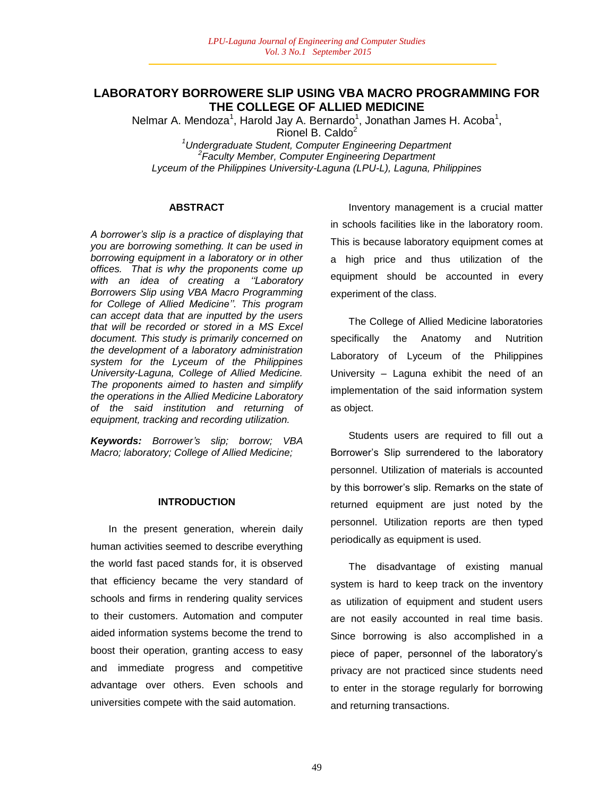# **LABORATORY BORROWERE SLIP USING VBA MACRO PROGRAMMING FOR THE COLLEGE OF ALLIED MEDICINE**

Nelmar A. Mendoza<sup>1</sup>, Harold Jay A. Bernardo<sup>1</sup>, Jonathan James H. Acoba<sup>1</sup>,

Rionel B. Caldo<sup>2</sup>

*<sup>1</sup>Undergraduate Student, Computer Engineering Department 2 Faculty Member, Computer Engineering Department Lyceum of the Philippines University-Laguna (LPU-L), Laguna, Philippines*

### **ABSTRACT**

*A borrower"s slip is a practice of displaying that you are borrowing something. It can be used in borrowing equipment in a laboratory or in other offices. That is why the proponents come up*  with an idea of creating a "Laboratory *Borrowers Slip using VBA Macro Programming for College of Allied Medicine"". This program can accept data that are inputted by the users that will be recorded or stored in a MS Excel document. This study is primarily concerned on the development of a laboratory administration system for the Lyceum of the Philippines University-Laguna, College of Allied Medicine. The proponents aimed to hasten and simplify the operations in the Allied Medicine Laboratory of the said institution and returning of equipment, tracking and recording utilization.* 

*Keywords: Borrower"s slip; borrow; VBA Macro; laboratory; College of Allied Medicine;* 

## **INTRODUCTION**

In the present generation, wherein daily human activities seemed to describe everything the world fast paced stands for, it is observed that efficiency became the very standard of schools and firms in rendering quality services to their customers. Automation and computer aided information systems become the trend to boost their operation, granting access to easy and immediate progress and competitive advantage over others. Even schools and universities compete with the said automation.

Inventory management is a crucial matter in schools facilities like in the laboratory room. This is because laboratory equipment comes at a high price and thus utilization of the equipment should be accounted in every experiment of the class.

The College of Allied Medicine laboratories specifically the Anatomy and Nutrition Laboratory of Lyceum of the Philippines University – Laguna exhibit the need of an implementation of the said information system as object.

Students users are required to fill out a Borrower"s Slip surrendered to the laboratory personnel. Utilization of materials is accounted by this borrower"s slip. Remarks on the state of returned equipment are just noted by the personnel. Utilization reports are then typed periodically as equipment is used.

The disadvantage of existing manual system is hard to keep track on the inventory as utilization of equipment and student users are not easily accounted in real time basis. Since borrowing is also accomplished in a piece of paper, personnel of the laboratory"s privacy are not practiced since students need to enter in the storage regularly for borrowing and returning transactions.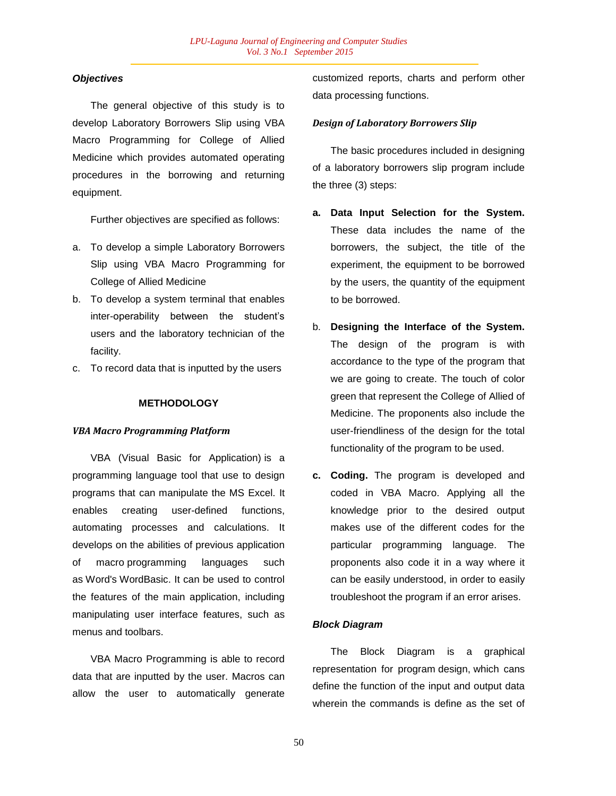## *Objectives*

The general objective of this study is to develop Laboratory Borrowers Slip using VBA Macro Programming for College of Allied Medicine which provides automated operating procedures in the borrowing and returning equipment.

Further objectives are specified as follows:

- a. To develop a simple Laboratory Borrowers Slip using VBA Macro Programming for College of Allied Medicine
- b. To develop a system terminal that enables inter-operability between the student"s users and the laboratory technician of the facility.
- c. To record data that is inputted by the users

### **METHODOLOGY**

### *VBA Macro Programming Platform*

VBA (Visual Basic for Application) is a programming language tool that use to design programs that can manipulate the MS Excel. It enables creating user-defined functions, automating processes and calculations. It develops on the abilities of previous application of macro programming languages such as Word's WordBasic. It can be used to control the features of the main application, including manipulating user interface features, such as menus and toolbars.

VBA Macro Programming is able to record data that are inputted by the user. Macros can allow the user to automatically generate customized reports, charts and perform other data processing functions.

### *Design of Laboratory Borrowers Slip*

The basic procedures included in designing of a laboratory borrowers slip program include the three (3) steps:

- **a. Data Input Selection for the System.**  These data includes the name of the borrowers, the subject, the title of the experiment, the equipment to be borrowed by the users, the quantity of the equipment to be borrowed.
- b. **Designing the Interface of the System.**  The design of the program is with accordance to the type of the program that we are going to create. The touch of color green that represent the College of Allied of Medicine. The proponents also include the user-friendliness of the design for the total functionality of the program to be used.
- **c. Coding.** The program is developed and coded in VBA Macro. Applying all the knowledge prior to the desired output makes use of the different codes for the particular programming language. The proponents also code it in a way where it can be easily understood, in order to easily troubleshoot the program if an error arises.

## *Block Diagram*

The Block Diagram is a graphical representation for program design, which cans define the function of the input and output data wherein the commands is define as the set of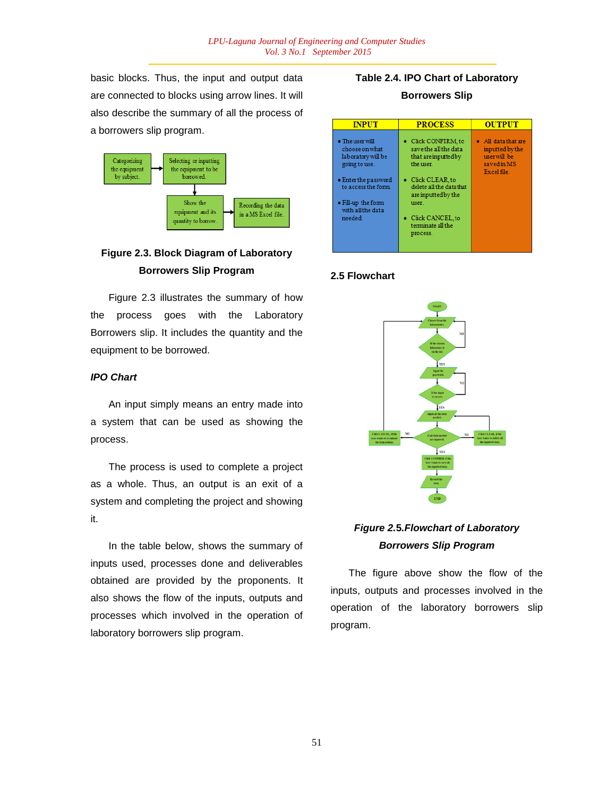basic blocks. Thus, the input and output data are connected to blocks using arrow lines. It will also describe the summary of all the process of a borrowers slip program.



# **Figure 2.3. Block Diagram of Laboratory Borrowers Slip Program**

Figure 2.3 illustrates the summary of how the process goes with the Laboratory Borrowers slip. It includes the quantity and the equipment to be borrowed.

## *IPO Chart*

An input simply means an entry made into a system that can be used as showing the process.

The process is used to complete a project as a whole. Thus, an output is an exit of a system and completing the project and showing it.

In the table below, shows the summary of inputs used, processes done and deliverables obtained are provided by the proponents. It also shows the flow of the inputs, outputs and processes which involved in the operation of laboratory borrowers slip program.

# **Table 2.4. IPO Chart of Laboratory Borrowers Slip**



# **2.5 Flowchart**



# *Figure 2.***5***.Flowchart of Laboratory Borrowers Slip Program*

The figure above show the flow of the inputs, outputs and processes involved in the operation of the laboratory borrowers slip program.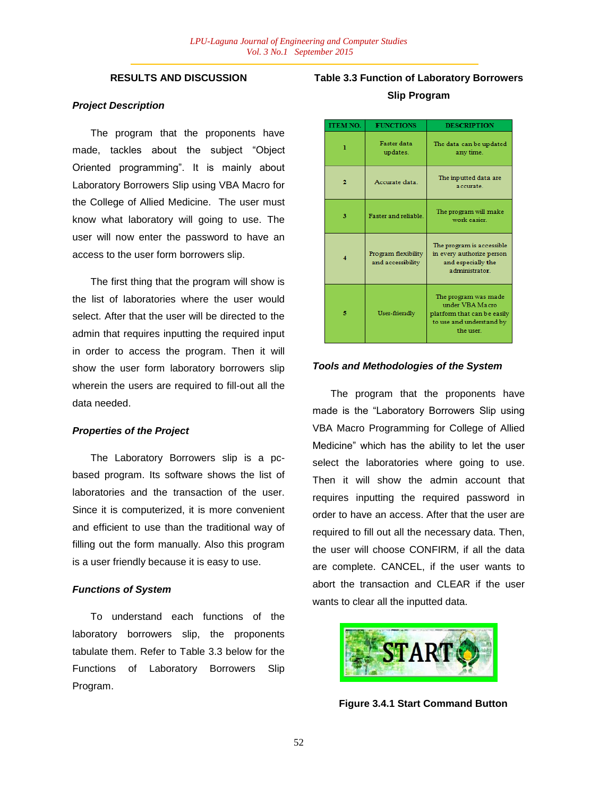# **RESULTS AND DISCUSSION**

#### *Project Description*

The program that the proponents have made, tackles about the subject "Object Oriented programming". It is mainly about Laboratory Borrowers Slip using VBA Macro for the College of Allied Medicine. The user must know what laboratory will going to use. The user will now enter the password to have an access to the user form borrowers slip.

The first thing that the program will show is the list of laboratories where the user would select. After that the user will be directed to the admin that requires inputting the required input in order to access the program. Then it will show the user form laboratory borrowers slip wherein the users are required to fill-out all the data needed.

### *Properties of the Project*

The Laboratory Borrowers slip is a pcbased program. Its software shows the list of laboratories and the transaction of the user. Since it is computerized, it is more convenient and efficient to use than the traditional way of filling out the form manually. Also this program is a user friendly because it is easy to use.

#### *Functions of System*

To understand each functions of the laboratory borrowers slip, the proponents tabulate them. Refer to Table 3.3 below for the Functions of Laboratory Borrowers Slip Program.

# **Table 3.3 Function of Laboratory Borrowers Slip Program**

| <b>ITEM NO.</b> | <b>FUNCTIONS</b>                         | <b>DESCRIPTION</b>                                                                                              |  |
|-----------------|------------------------------------------|-----------------------------------------------------------------------------------------------------------------|--|
| ı               | <b>Faster</b> data<br>updates.           | The data can be updated<br>any time.                                                                            |  |
|                 | Accurate data.                           | The inputted data are<br>accurate.                                                                              |  |
| з               | <b>Faster and reliable</b>               | The program will make<br>work easier.                                                                           |  |
|                 | Program flexibility<br>and accessibility | The program is accessible<br>in every authorize person<br>and especially the<br>administrator.                  |  |
| 5               | User-friendly                            | The program was made<br>under VBA Macro<br>platform that can be easily<br>to use and understand by<br>the user. |  |

#### *Tools and Methodologies of the System*

The program that the proponents have made is the "Laboratory Borrowers Slip using VBA Macro Programming for College of Allied Medicine" which has the ability to let the user select the laboratories where going to use. Then it will show the admin account that requires inputting the required password in order to have an access. After that the user are required to fill out all the necessary data. Then, the user will choose CONFIRM, if all the data are complete. CANCEL, if the user wants to abort the transaction and CLEAR if the user wants to clear all the inputted data.



**Figure 3.4.1 Start Command Button**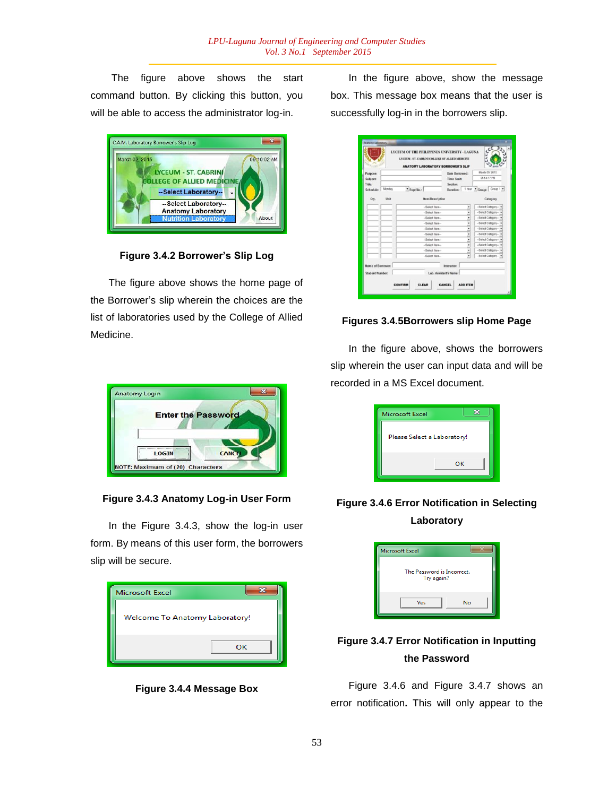The figure above shows the start command button. By clicking this button, you will be able to access the administrator log-in.



**Figure 3.4.2 Borrower's Slip Log**

The figure above shows the home page of the Borrower"s slip wherein the choices are the list of laboratories used by the College of Allied Medicine.



**Figure 3.4.3 Anatomy Log-in User Form**

In the Figure 3.4.3, show the log-in user form. By means of this user form, the borrowers slip will be secure.

| <b>Microsoft Excel</b>         |  |  |  |  |
|--------------------------------|--|--|--|--|
| Welcome To Anatomy Laboratory! |  |  |  |  |
| OK                             |  |  |  |  |

**Figure 3.4.4 Message Box**

In the figure above, show the message box. This message box means that the user is successfully log-in in the borrowers slip.

| <b>Crainin</b>                 |        | LYCEUM OF THE PHILIPPINES UNIVERSITY - LAGUNA<br>LYCEUM - ST. CABRINI COLLEGE OF ALLED MEDICINE<br><b>ANATOMY LABORATORY BORROWER'S SLIP</b> |                        |                                                  |                         |                               |  |
|--------------------------------|--------|----------------------------------------------------------------------------------------------------------------------------------------------|------------------------|--------------------------------------------------|-------------------------|-------------------------------|--|
| Purpose:<br>Subject:<br>Title: |        |                                                                                                                                              |                        | Date Borrowed:<br><b>Time Start:</b><br>Section: |                         | March 09, 2015<br>06:54:17 PM |  |
| Schedule:                      | Monday | * Expt No.:                                                                                                                                  | Duration:              |                                                  | 1 hour Croup: Group 1 = |                               |  |
| Oty.                           | Unit   | <b>Item/Description</b>                                                                                                                      |                        |                                                  |                         | Category                      |  |
|                                |        | -Select Item-                                                                                                                                |                        |                                                  |                         | -Select Category-             |  |
|                                |        | -Select Item-                                                                                                                                |                        |                                                  | -Select Category-       |                               |  |
|                                |        | -Select Item-<br>è                                                                                                                           |                        |                                                  | -Select Category-       |                               |  |
|                                |        | -Select Item-<br>٠                                                                                                                           |                        |                                                  | -Select Category-       |                               |  |
|                                |        | -Salact Item-<br>٠                                                                                                                           |                        |                                                  |                         | -Select Category-             |  |
|                                |        | -Select Item-<br>٠<br>-Select Item-<br>٠                                                                                                     |                        |                                                  | -Select Category-       |                               |  |
|                                |        |                                                                                                                                              |                        |                                                  |                         | -Select Category-             |  |
|                                |        | -Select Item-                                                                                                                                |                        | ٠                                                |                         | -Salect Category-             |  |
|                                |        | -Select Item-<br>٠                                                                                                                           |                        |                                                  | -Salect Category-       |                               |  |
|                                |        | -Select Item-                                                                                                                                |                        |                                                  |                         | -Salect Category-             |  |
| Name of Borrower:              |        |                                                                                                                                              | Instructor:            |                                                  |                         |                               |  |
| <b>Student Number:</b>         |        |                                                                                                                                              | Lab. Assistant's Name: |                                                  |                         |                               |  |
|                                |        |                                                                                                                                              |                        |                                                  |                         |                               |  |

# **Figures 3.4.5Borrowers slip Home Page**

In the figure above, shows the borrowers slip wherein the user can input data and will be recorded in a MS Excel document.

| Microsoft Excel             |    |
|-----------------------------|----|
| Please Select a Laboratory! |    |
|                             | OK |

# **Figure 3.4.6 Error Notification in Selecting Laboratory**



# **Figure 3.4.7 Error Notification in Inputting the Password**

Figure 3.4.6 and Figure 3.4.7 shows an error notification**.** This will only appear to the